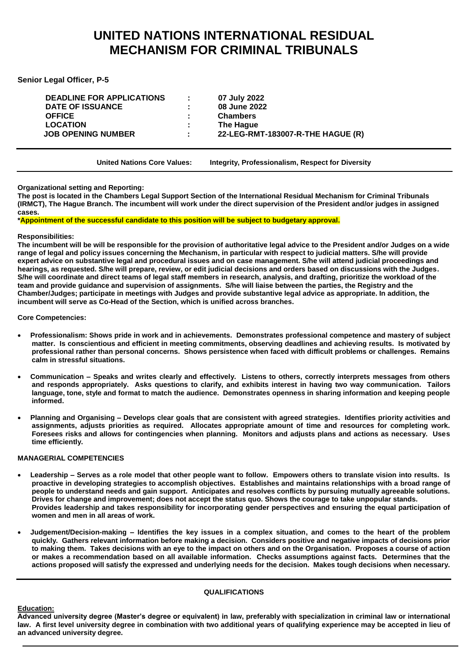# **UNITED NATIONS INTERNATIONAL RESIDUAL MECHANISM FOR CRIMINAL TRIBUNALS**

**Senior Legal Officer, P-5**

**DEADLINE FOR APPLICATIONS : 07 July 2022 DATE OF ISSUANCE**<br>**OFFICE**  $\begin{array}{ccc}\n\text{LOGATION} \\
\text{JOB OPERING NUMBER}\n\end{array}$ 

**Chambers**<br> **Chambers**<br> **Chague JOB OPENING NUMBER : 22-LEG-RMT-183007-R-THE HAGUE (R)**

**United Nations Core Values: Integrity, Professionalism, Respect for Diversity**

**Organizational setting and Reporting:**

**The post is located in the Chambers Legal Support Section of the International Residual Mechanism for Criminal Tribunals (IRMCT), The Hague Branch. The incumbent will work under the direct supervision of the President and/or judges in assigned cases.**

**\*Appointment of the successful candidate to this position will be subject to budgetary approval.**

### **Responsibilities:**

**The incumbent will be will be responsible for the provision of authoritative legal advice to the President and/or Judges on a wide range of legal and policy issues concerning the Mechanism, in particular with respect to judicial matters. S/he will provide expert advice on substantive legal and procedural issues and on case management. S/he will attend judicial proceedings and hearings, as requested. S/he will prepare, review, or edit judicial decisions and orders based on discussions with the Judges. S/he will coordinate and direct teams of legal staff members in research, analysis, and drafting, prioritize the workload of the team and provide guidance and supervision of assignments. S/he will liaise between the parties, the Registry and the Chamber/Judges; participate in meetings with Judges and provide substantive legal advice as appropriate. In addition, the incumbent will serve as Co-Head of the Section, which is unified across branches.** 

**Core Competencies:**

- **Professionalism: Shows pride in work and in achievements. Demonstrates professional competence and mastery of subject matter. Is conscientious and efficient in meeting commitments, observing deadlines and achieving results. Is motivated by professional rather than personal concerns. Shows persistence when faced with difficult problems or challenges. Remains calm in stressful situations.**
- **Communication – Speaks and writes clearly and effectively. Listens to others, correctly interprets messages from others and responds appropriately. Asks questions to clarify, and exhibits interest in having two way communication. Tailors language, tone, style and format to match the audience. Demonstrates openness in sharing information and keeping people informed.**
- **Planning and Organising – Develops clear goals that are consistent with agreed strategies. Identifies priority activities and assignments, adjusts priorities as required. Allocates appropriate amount of time and resources for completing work. Foresees risks and allows for contingencies when planning. Monitors and adjusts plans and actions as necessary. Uses time efficiently.**

## **MANAGERIAL COMPETENCIES**

- **Leadership – Serves as a role model that other people want to follow. Empowers others to translate vision into results. Is proactive in developing strategies to accomplish objectives. Establishes and maintains relationships with a broad range of people to understand needs and gain support. Anticipates and resolves conflicts by pursuing mutually agreeable solutions. Drives for change and improvement; does not accept the status quo. Shows the courage to take unpopular stands. Provides leadership and takes responsibility for incorporating gender perspectives and ensuring the equal participation of women and men in all areas of work.**
- **Judgement/Decision-making – Identifies the key issues in a complex situation, and comes to the heart of the problem quickly. Gathers relevant information before making a decision. Considers positive and negative impacts of decisions prior to making them. Takes decisions with an eye to the impact on others and on the Organisation. Proposes a course of action or makes a recommendation based on all available information. Checks assumptions against facts. Determines that the actions proposed will satisfy the expressed and underlying needs for the decision. Makes tough decisions when necessary.**

## **QUALIFICATIONS**

## **Education:**

**Advanced university degree (Master's degree or equivalent) in law, preferably with specialization in criminal law or international law. A first level university degree in combination with two additional years of qualifying experience may be accepted in lieu of an advanced university degree.**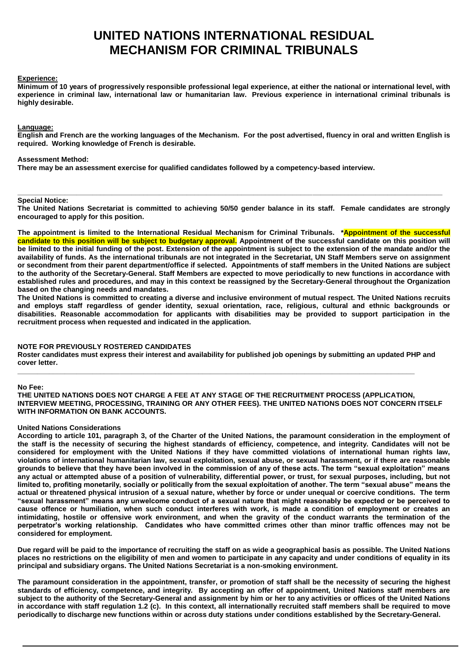## **UNITED NATIONS INTERNATIONAL RESIDUAL MECHANISM FOR CRIMINAL TRIBUNALS**

### **Experience:**

**Minimum of 10 years of progressively responsible professional legal experience, at either the national or international level, with experience in criminal law, international law or humanitarian law. Previous experience in international criminal tribunals is highly desirable.**

#### **Language:**

**English and French are the working languages of the Mechanism. For the post advertised, fluency in oral and written English is required. Working knowledge of French is desirable.** 

#### **Assessment Method:**

**There may be an assessment exercise for qualified candidates followed by a competency-based interview.**

#### **\_\_\_\_\_\_\_\_\_\_\_\_\_\_\_\_\_\_\_\_\_\_\_\_\_\_\_\_\_\_\_\_\_\_\_\_\_\_\_\_\_\_\_\_\_\_\_\_\_\_\_\_\_\_\_\_\_\_\_\_\_\_\_\_\_\_\_\_\_\_\_\_\_\_\_\_\_\_\_\_\_\_\_\_\_\_\_\_\_\_\_\_\_\_\_\_\_\_\_\_\_\_\_\_\_\_\_\_ Special Notice:**

**The United Nations Secretariat is committed to achieving 50/50 gender balance in its staff. Female candidates are strongly encouraged to apply for this position.** 

**The appointment is limited to the International Residual Mechanism for Criminal Tribunals. \*Appointment of the successful candidate to this position will be subject to budgetary approval. Appointment of the successful candidate on this position will be limited to the initial funding of the post. Extension of the appointment is subject to the extension of the mandate and/or the availability of funds. As the international tribunals are not integrated in the Secretariat, UN Staff Members serve on assignment or secondment from their parent department/office if selected. Appointments of staff members in the United Nations are subject to the authority of the Secretary-General. Staff Members are expected to move periodically to new functions in accordance with established rules and procedures, and may in this context be reassigned by the Secretary-General throughout the Organization based on the changing needs and mandates.**

**The United Nations is committed to creating a diverse and inclusive environment of mutual respect. The United Nations recruits and employs staff regardless of gender identity, sexual orientation, race, religious, cultural and ethnic backgrounds or disabilities. Reasonable accommodation for applicants with disabilities may be provided to support participation in the recruitment process when requested and indicated in the application.**

#### **NOTE FOR PREVIOUSLY ROSTERED CANDIDATES**

**Roster candidates must express their interest and availability for published job openings by submitting an updated PHP and cover letter.**

**\_\_\_\_\_\_\_\_\_\_\_\_\_\_\_\_\_\_\_\_\_\_\_\_\_\_\_\_\_\_\_\_\_\_\_\_\_\_\_\_\_\_\_\_\_\_\_\_\_\_\_\_\_\_\_\_\_\_\_\_\_\_\_\_\_\_\_\_\_\_\_\_\_\_\_\_\_\_\_\_\_\_\_\_\_\_\_\_\_\_\_\_\_\_\_\_\_\_\_\_\_**

#### **No Fee:**

**THE UNITED NATIONS DOES NOT CHARGE A FEE AT ANY STAGE OF THE RECRUITMENT PROCESS (APPLICATION, INTERVIEW MEETING, PROCESSING, TRAINING OR ANY OTHER FEES). THE UNITED NATIONS DOES NOT CONCERN ITSELF WITH INFORMATION ON BANK ACCOUNTS.**

#### **United Nations Considerations**

**According to article 101, paragraph 3, of the Charter of the United Nations, the paramount consideration in the employment of the staff is the necessity of securing the highest standards of efficiency, competence, and integrity. Candidates will not be considered for employment with the United Nations if they have committed violations of international human rights law, violations of international humanitarian law, sexual exploitation, sexual abuse, or sexual harassment, or if there are reasonable grounds to believe that they have been involved in the commission of any of these acts. The term "sexual exploitation" means any actual or attempted abuse of a position of vulnerability, differential power, or trust, for sexual purposes, including, but not limited to, profiting monetarily, socially or politically from the sexual exploitation of another. The term "sexual abuse" means the actual or threatened physical intrusion of a sexual nature, whether by force or under unequal or coercive conditions. The term "sexual harassment" means any unwelcome conduct of a sexual nature that might reasonably be expected or be perceived to cause offence or humiliation, when such conduct interferes with work, is made a condition of employment or creates an intimidating, hostile or offensive work environment, and when the gravity of the conduct warrants the termination of the perpetrator's working relationship. Candidates who have committed crimes other than minor traffic offences may not be considered for employment.**

**Due regard will be paid to the importance of recruiting the staff on as wide a geographical basis as possible. The United Nations places no restrictions on the eligibility of men and women to participate in any capacity and under conditions of equality in its principal and subsidiary organs. The United Nations Secretariat is a non-smoking environment.**

**The paramount consideration in the appointment, transfer, or promotion of staff shall be the necessity of securing the highest standards of efficiency, competence, and integrity. By accepting an offer of appointment, United Nations staff members are subject to the authority of the Secretary-General and assignment by him or her to any activities or offices of the United Nations in accordance with staff regulation 1.2 (c). In this context, all internationally recruited staff members shall be required to move periodically to discharge new functions within or across duty stations under conditions established by the Secretary-General.**